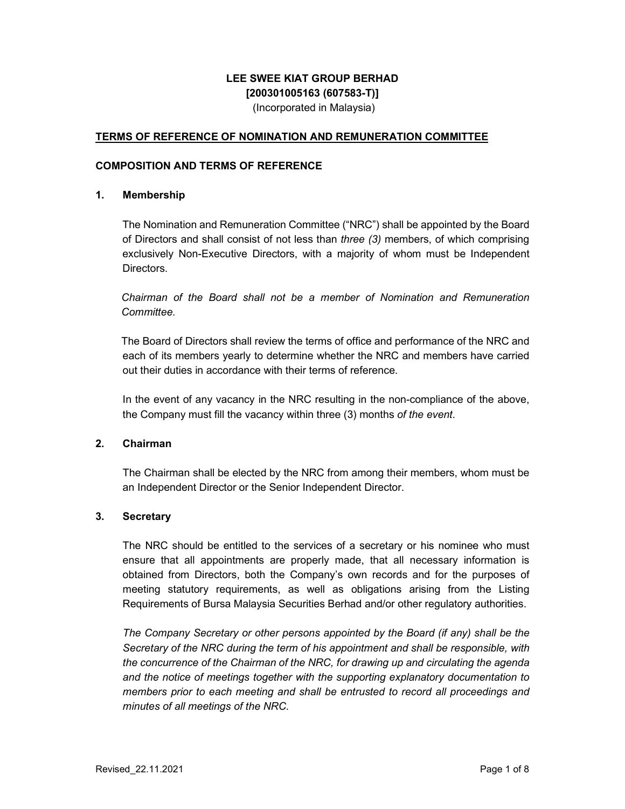# **LEE SWEE KIAT GROUP BERHAD [200301005163 (607583-T)]**

(Incorporated in Malaysia)

## **TERMS OF REFERENCE OF NOMINATION AND REMUNERATION COMMITTEE**

## **COMPOSITION AND TERMS OF REFERENCE**

## **1. Membership**

The Nomination and Remuneration Committee ("NRC") shall be appointed by the Board of Directors and shall consist of not less than *three (3)* members, of which comprising exclusively Non-Executive Directors, with a majority of whom must be Independent Directors.

*Chairman of the Board shall not be a member of Nomination and Remuneration Committee.* 

The Board of Directors shall review the terms of office and performance of the NRC and each of its members yearly to determine whether the NRC and members have carried out their duties in accordance with their terms of reference.

In the event of any vacancy in the NRC resulting in the non-compliance of the above, the Company must fill the vacancy within three (3) months *of the event*.

## **2. Chairman**

The Chairman shall be elected by the NRC from among their members, whom must be an Independent Director or the Senior Independent Director.

## **3. Secretary**

The NRC should be entitled to the services of a secretary or his nominee who must ensure that all appointments are properly made, that all necessary information is obtained from Directors, both the Company's own records and for the purposes of meeting statutory requirements, as well as obligations arising from the Listing Requirements of Bursa Malaysia Securities Berhad and/or other regulatory authorities.

*The Company Secretary or other persons appointed by the Board (if any) shall be the Secretary of the NRC during the term of his appointment and shall be responsible, with the concurrence of the Chairman of the NRC, for drawing up and circulating the agenda and the notice of meetings together with the supporting explanatory documentation to members prior to each meeting and shall be entrusted to record all proceedings and minutes of all meetings of the NRC.*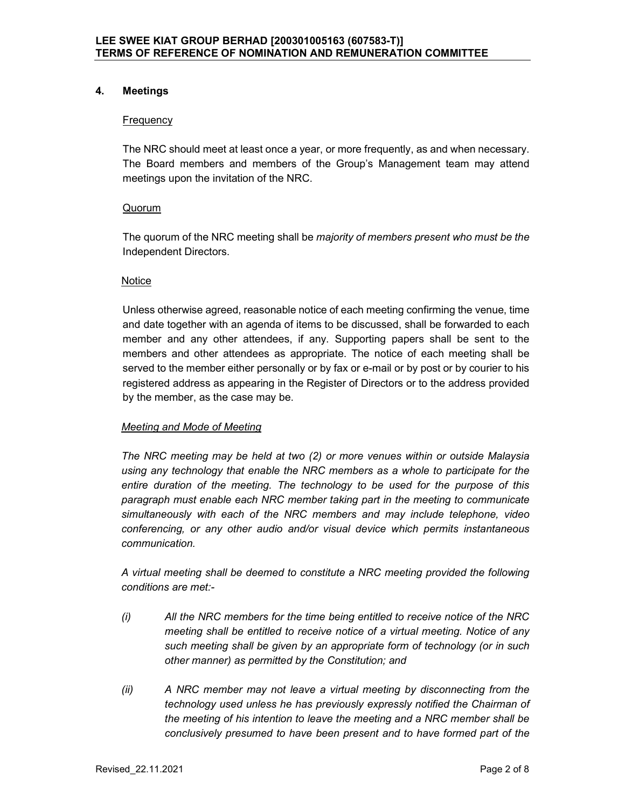## **4. Meetings**

## **Frequency**

The NRC should meet at least once a year, or more frequently, as and when necessary. The Board members and members of the Group's Management team may attend meetings upon the invitation of the NRC.

## **Quorum**

The quorum of the NRC meeting shall be *majority of members present who must be the* Independent Directors.

## **Notice**

Unless otherwise agreed, reasonable notice of each meeting confirming the venue, time and date together with an agenda of items to be discussed, shall be forwarded to each member and any other attendees, if any. Supporting papers shall be sent to the members and other attendees as appropriate. The notice of each meeting shall be served to the member either personally or by fax or e-mail or by post or by courier to his registered address as appearing in the Register of Directors or to the address provided by the member, as the case may be.

# *Meeting and Mode of Meeting*

*The NRC meeting may be held at two (2) or more venues within or outside Malaysia using any technology that enable the NRC members as a whole to participate for the entire duration of the meeting. The technology to be used for the purpose of this paragraph must enable each NRC member taking part in the meeting to communicate simultaneously with each of the NRC members and may include telephone, video conferencing, or any other audio and/or visual device which permits instantaneous communication.* 

*A virtual meeting shall be deemed to constitute a NRC meeting provided the following conditions are met:-* 

- *(i) All the NRC members for the time being entitled to receive notice of the NRC meeting shall be entitled to receive notice of a virtual meeting. Notice of any such meeting shall be given by an appropriate form of technology (or in such other manner) as permitted by the Constitution; and*
- *(ii) A NRC member may not leave a virtual meeting by disconnecting from the technology used unless he has previously expressly notified the Chairman of the meeting of his intention to leave the meeting and a NRC member shall be conclusively presumed to have been present and to have formed part of the*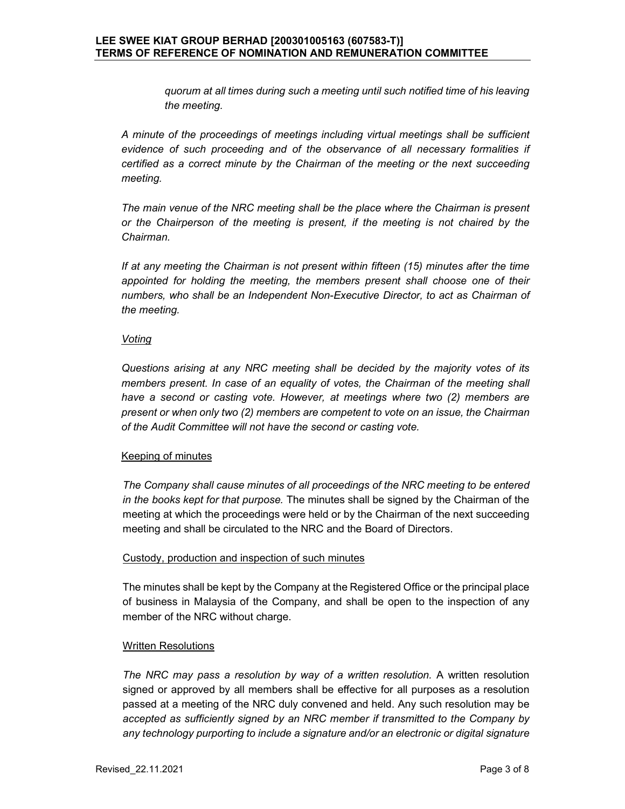*quorum at all times during such a meeting until such notified time of his leaving the meeting.* 

*A minute of the proceedings of meetings including virtual meetings shall be sufficient evidence of such proceeding and of the observance of all necessary formalities if certified as a correct minute by the Chairman of the meeting or the next succeeding meeting.* 

*The main venue of the NRC meeting shall be the place where the Chairman is present or the Chairperson of the meeting is present, if the meeting is not chaired by the Chairman.* 

*If at any meeting the Chairman is not present within fifteen (15) minutes after the time appointed for holding the meeting, the members present shall choose one of their numbers, who shall be an Independent Non-Executive Director, to act as Chairman of the meeting.* 

#### *Voting*

*Questions arising at any NRC meeting shall be decided by the majority votes of its members present. In case of an equality of votes, the Chairman of the meeting shall have a second or casting vote. However, at meetings where two (2) members are present or when only two (2) members are competent to vote on an issue, the Chairman of the Audit Committee will not have the second or casting vote.* 

## Keeping of minutes

*The Company shall cause minutes of all proceedings of the NRC meeting to be entered in the books kept for that purpose.* The minutes shall be signed by the Chairman of the meeting at which the proceedings were held or by the Chairman of the next succeeding meeting and shall be circulated to the NRC and the Board of Directors.

## Custody, production and inspection of such minutes

The minutes shall be kept by the Company at the Registered Office or the principal place of business in Malaysia of the Company, and shall be open to the inspection of any member of the NRC without charge.

## Written Resolutions

*The NRC may pass a resolution by way of a written resolution.* A written resolution signed or approved by all members shall be effective for all purposes as a resolution passed at a meeting of the NRC duly convened and held. Any such resolution may be *accepted as sufficiently signed by an NRC member if transmitted to the Company by any technology purporting to include a signature and/or an electronic or digital signature*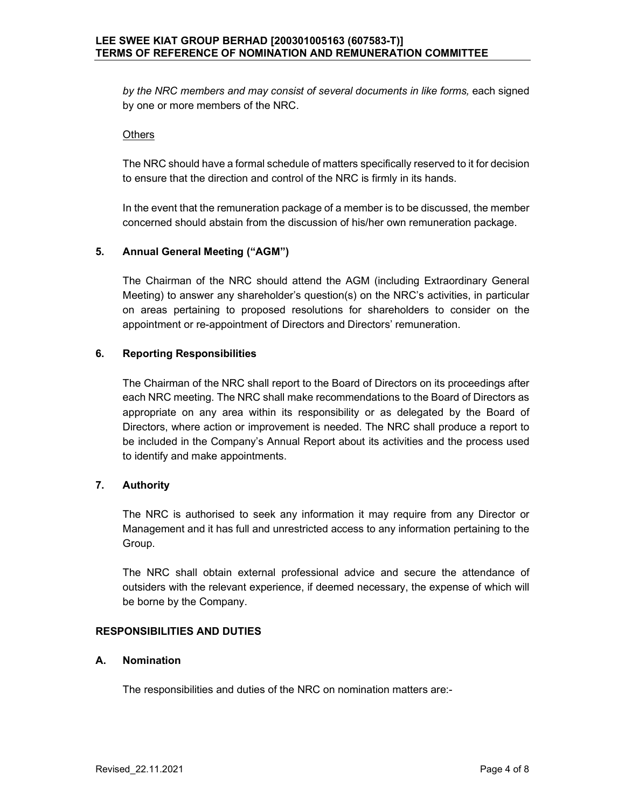by the NRC members and may consist of several documents in like forms, each signed by one or more members of the NRC.

#### **Others**

The NRC should have a formal schedule of matters specifically reserved to it for decision to ensure that the direction and control of the NRC is firmly in its hands.

In the event that the remuneration package of a member is to be discussed, the member concerned should abstain from the discussion of his/her own remuneration package.

## **5. Annual General Meeting ("AGM")**

The Chairman of the NRC should attend the AGM (including Extraordinary General Meeting) to answer any shareholder's question(s) on the NRC's activities, in particular on areas pertaining to proposed resolutions for shareholders to consider on the appointment or re-appointment of Directors and Directors' remuneration.

#### **6. Reporting Responsibilities**

The Chairman of the NRC shall report to the Board of Directors on its proceedings after each NRC meeting. The NRC shall make recommendations to the Board of Directors as appropriate on any area within its responsibility or as delegated by the Board of Directors, where action or improvement is needed. The NRC shall produce a report to be included in the Company's Annual Report about its activities and the process used to identify and make appointments.

## **7. Authority**

The NRC is authorised to seek any information it may require from any Director or Management and it has full and unrestricted access to any information pertaining to the Group.

The NRC shall obtain external professional advice and secure the attendance of outsiders with the relevant experience, if deemed necessary, the expense of which will be borne by the Company.

#### **RESPONSIBILITIES AND DUTIES**

## **A. Nomination**

The responsibilities and duties of the NRC on nomination matters are:-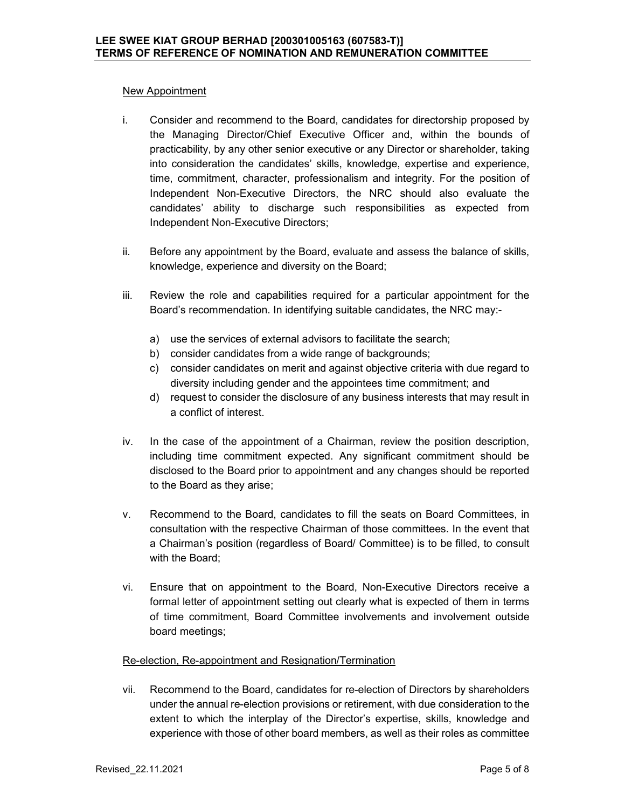### New Appointment

- i. Consider and recommend to the Board, candidates for directorship proposed by the Managing Director/Chief Executive Officer and, within the bounds of practicability, by any other senior executive or any Director or shareholder, taking into consideration the candidates' skills, knowledge, expertise and experience, time, commitment, character, professionalism and integrity. For the position of Independent Non-Executive Directors, the NRC should also evaluate the candidates' ability to discharge such responsibilities as expected from Independent Non-Executive Directors;
- ii. Before any appointment by the Board, evaluate and assess the balance of skills, knowledge, experience and diversity on the Board;
- iii. Review the role and capabilities required for a particular appointment for the Board's recommendation. In identifying suitable candidates, the NRC may:
	- a) use the services of external advisors to facilitate the search;
	- b) consider candidates from a wide range of backgrounds;
	- c) consider candidates on merit and against objective criteria with due regard to diversity including gender and the appointees time commitment; and
	- d) request to consider the disclosure of any business interests that may result in a conflict of interest.
- iv. In the case of the appointment of a Chairman, review the position description, including time commitment expected. Any significant commitment should be disclosed to the Board prior to appointment and any changes should be reported to the Board as they arise;
- v. Recommend to the Board, candidates to fill the seats on Board Committees, in consultation with the respective Chairman of those committees. In the event that a Chairman's position (regardless of Board/ Committee) is to be filled, to consult with the Board;
- vi. Ensure that on appointment to the Board, Non-Executive Directors receive a formal letter of appointment setting out clearly what is expected of them in terms of time commitment, Board Committee involvements and involvement outside board meetings;

## Re-election, Re-appointment and Resignation/Termination

vii. Recommend to the Board, candidates for re-election of Directors by shareholders under the annual re-election provisions or retirement, with due consideration to the extent to which the interplay of the Director's expertise, skills, knowledge and experience with those of other board members, as well as their roles as committee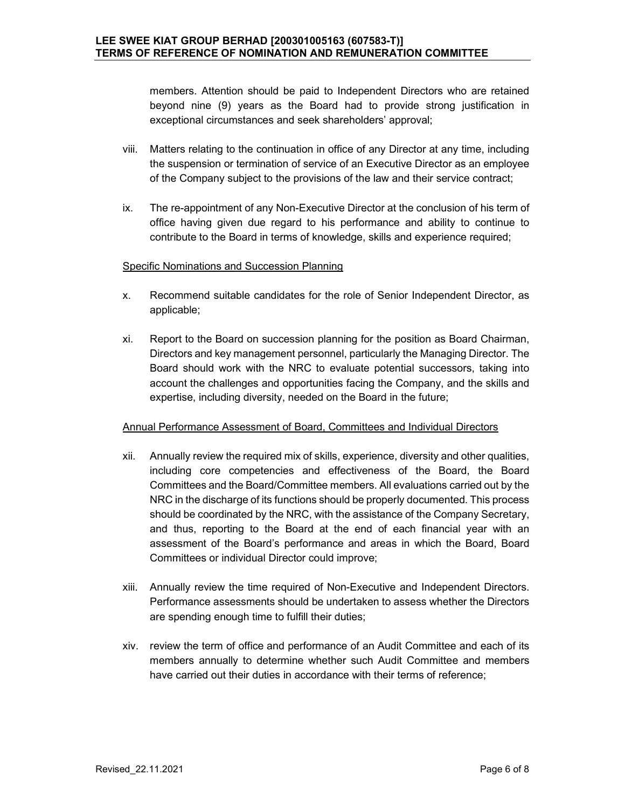members. Attention should be paid to Independent Directors who are retained beyond nine (9) years as the Board had to provide strong justification in exceptional circumstances and seek shareholders' approval;

- viii. Matters relating to the continuation in office of any Director at any time, including the suspension or termination of service of an Executive Director as an employee of the Company subject to the provisions of the law and their service contract;
- ix. The re-appointment of any Non-Executive Director at the conclusion of his term of office having given due regard to his performance and ability to continue to contribute to the Board in terms of knowledge, skills and experience required;

## Specific Nominations and Succession Planning

- x. Recommend suitable candidates for the role of Senior Independent Director, as applicable;
- xi. Report to the Board on succession planning for the position as Board Chairman, Directors and key management personnel, particularly the Managing Director. The Board should work with the NRC to evaluate potential successors, taking into account the challenges and opportunities facing the Company, and the skills and expertise, including diversity, needed on the Board in the future;

#### Annual Performance Assessment of Board, Committees and Individual Directors

- xii. Annually review the required mix of skills, experience, diversity and other qualities, including core competencies and effectiveness of the Board, the Board Committees and the Board/Committee members. All evaluations carried out by the NRC in the discharge of its functions should be properly documented. This process should be coordinated by the NRC, with the assistance of the Company Secretary, and thus, reporting to the Board at the end of each financial year with an assessment of the Board's performance and areas in which the Board, Board Committees or individual Director could improve;
- xiii. Annually review the time required of Non-Executive and Independent Directors. Performance assessments should be undertaken to assess whether the Directors are spending enough time to fulfill their duties;
- xiv. review the term of office and performance of an Audit Committee and each of its members annually to determine whether such Audit Committee and members have carried out their duties in accordance with their terms of reference;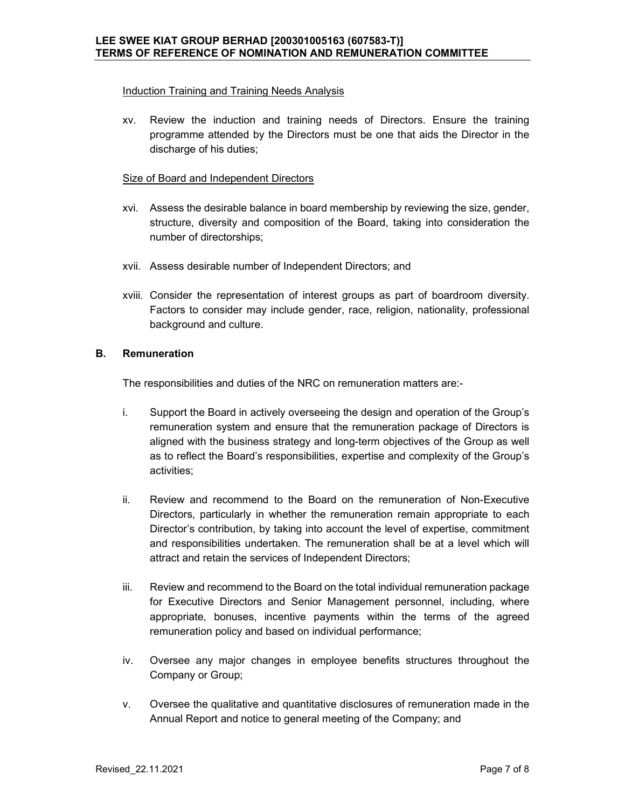### Induction Training and Training Needs Analysis

xv. Review the induction and training needs of Directors. Ensure the training programme attended by the Directors must be one that aids the Director in the discharge of his duties;

#### **Size of Board and Independent Directors**

- xvi. Assess the desirable balance in board membership by reviewing the size, gender, structure, diversity and composition of the Board, taking into consideration the number of directorships;
- xvii. Assess desirable number of Independent Directors; and
- xviii. Consider the representation of interest groups as part of boardroom diversity. Factors to consider may include gender, race, religion, nationality, professional background and culture.

### **B. Remuneration**

The responsibilities and duties of the NRC on remuneration matters are:-

- i. Support the Board in actively overseeing the design and operation of the Group's remuneration system and ensure that the remuneration package of Directors is aligned with the business strategy and long-term objectives of the Group as well as to reflect the Board's responsibilities, expertise and complexity of the Group's activities;
- ii. Review and recommend to the Board on the remuneration of Non-Executive Directors, particularly in whether the remuneration remain appropriate to each Director's contribution, by taking into account the level of expertise, commitment and responsibilities undertaken. The remuneration shall be at a level which will attract and retain the services of Independent Directors;
- iii. Review and recommend to the Board on the total individual remuneration package for Executive Directors and Senior Management personnel, including, where appropriate, bonuses, incentive payments within the terms of the agreed remuneration policy and based on individual performance;
- iv. Oversee any major changes in employee benefits structures throughout the Company or Group;
- v. Oversee the qualitative and quantitative disclosures of remuneration made in the Annual Report and notice to general meeting of the Company; and